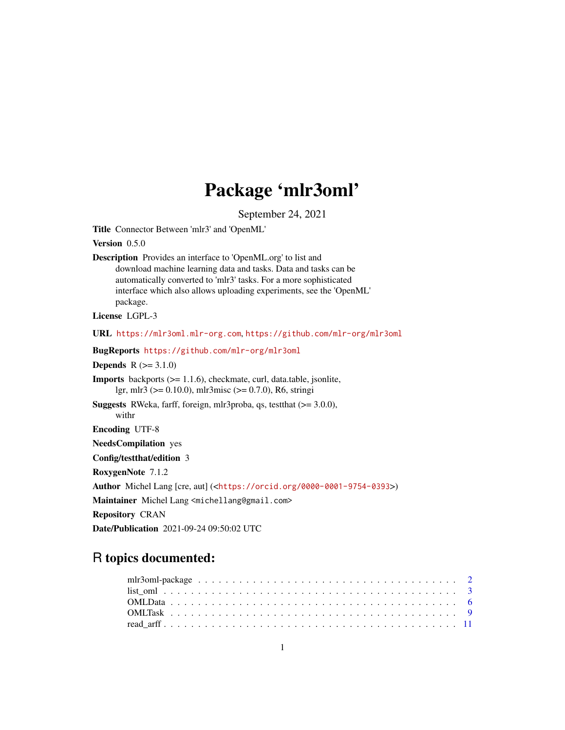# Package 'mlr3oml'

September 24, 2021

<span id="page-0-0"></span>Title Connector Between 'mlr3' and 'OpenML'

Version 0.5.0

Description Provides an interface to 'OpenML.org' to list and download machine learning data and tasks. Data and tasks can be automatically converted to 'mlr3' tasks. For a more sophisticated interface which also allows uploading experiments, see the 'OpenML' package.

License LGPL-3

URL <https://mlr3oml.mlr-org.com>, <https://github.com/mlr-org/mlr3oml>

BugReports <https://github.com/mlr-org/mlr3oml>

**Depends**  $R (= 3.1.0)$ 

Imports backports (>= 1.1.6), checkmate, curl, data.table, jsonlite, lgr, mlr3 (>= 0.10.0), mlr3misc (>= 0.7.0), R6, stringi

Suggests RWeka, farff, foreign, mlr3proba, qs, testthat (>= 3.0.0), withr

Encoding UTF-8

NeedsCompilation yes

Config/testthat/edition 3

RoxygenNote 7.1.2

Author Michel Lang [cre, aut] (<<https://orcid.org/0000-0001-9754-0393>>)

Maintainer Michel Lang <michellang@gmail.com>

Repository CRAN

Date/Publication 2021-09-24 09:50:02 UTC

# R topics documented:

| $list \text{ om} 1$ |  |  |  |  |  |  |  |  |  |  |  |  |  |  |  |  |  |  |  |
|---------------------|--|--|--|--|--|--|--|--|--|--|--|--|--|--|--|--|--|--|--|
|                     |  |  |  |  |  |  |  |  |  |  |  |  |  |  |  |  |  |  |  |
|                     |  |  |  |  |  |  |  |  |  |  |  |  |  |  |  |  |  |  |  |
|                     |  |  |  |  |  |  |  |  |  |  |  |  |  |  |  |  |  |  |  |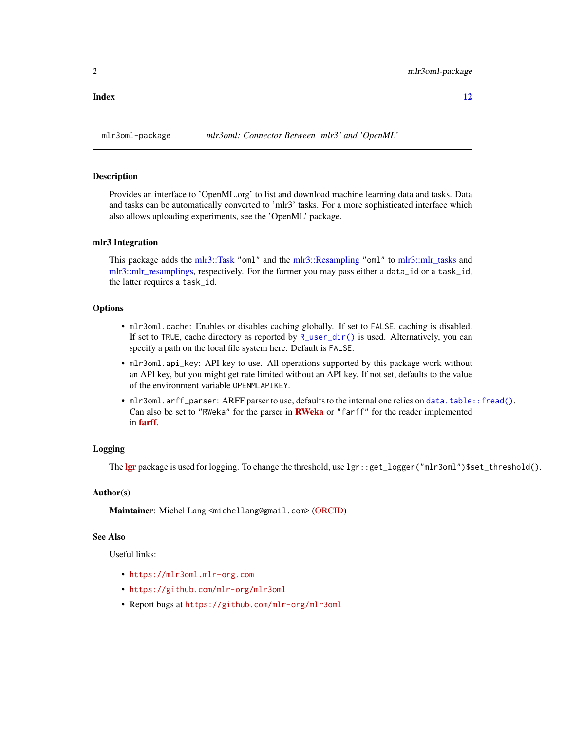<span id="page-1-0"></span>

# Description

Provides an interface to 'OpenML.org' to list and download machine learning data and tasks. Data and tasks can be automatically converted to 'mlr3' tasks. For a more sophisticated interface which also allows uploading experiments, see the 'OpenML' package.

# mlr3 Integration

This package adds the [mlr3::Task](#page-0-0) "oml" and the [mlr3::Resampling](#page-0-0) "oml" to [mlr3::mlr\\_tasks](#page-0-0) and [mlr3::mlr\\_resamplings,](#page-0-0) respectively. For the former you may pass either a data\_id or a task\_id, the latter requires a task\_id.

# **Options**

- mlr3oml.cache: Enables or disables caching globally. If set to FALSE, caching is disabled. If set to TRUE, cache directory as reported by [R\\_user\\_dir\(\)](#page-0-0) is used. Alternatively, you can specify a path on the local file system here. Default is FALSE.
- mlr3oml.api\_key: API key to use. All operations supported by this package work without an API key, but you might get rate limited without an API key. If not set, defaults to the value of the environment variable OPENMLAPIKEY.
- mlr3oml.arff\_parser: ARFF parser to use, defaults to the internal one relies on [data.table::fread\(\)](#page-0-0). Can also be set to "[RWeka](https://CRAN.R-project.org/package=RWeka)" for the parser in **RWeka** or "farff" for the reader implemented in [farff](https://CRAN.R-project.org/package=farff).

# Logging

The [lgr](https://CRAN.R-project.org/package=lgr) package is used for logging. To change the threshold, use lgr::get\_logger("mlr3oml")\$set\_threshold().

# Author(s)

Maintainer: Michel Lang <michellang@gmail.com> [\(ORCID\)](https://orcid.org/0000-0001-9754-0393)

#### See Also

Useful links:

- <https://mlr3oml.mlr-org.com>
- <https://github.com/mlr-org/mlr3oml>
- Report bugs at <https://github.com/mlr-org/mlr3oml>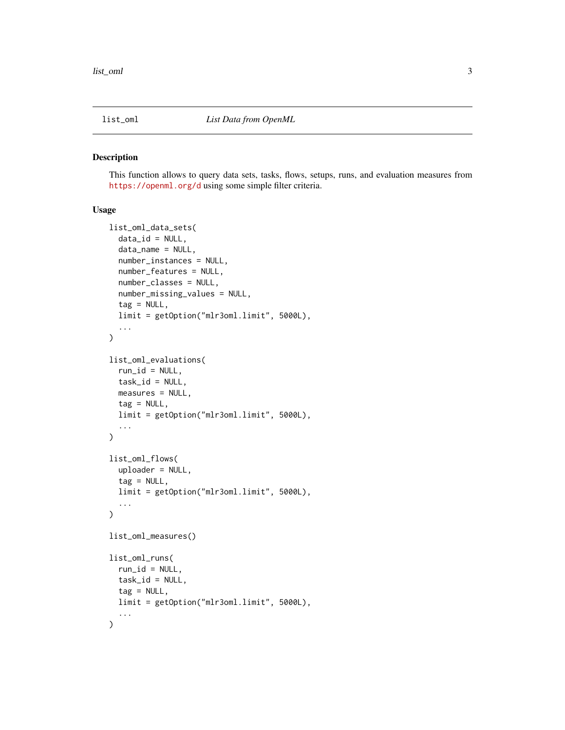<span id="page-2-0"></span>

#### Description

This function allows to query data sets, tasks, flows, setups, runs, and evaluation measures from <https://openml.org/d> using some simple filter criteria.

# Usage

```
list_oml_data_sets(
  data_id = NULL,data_name = NULL,
  number_instances = NULL,
  number_features = NULL,
  number_classes = NULL,
  number_missing_values = NULL,
  tag = NULL,limit = getOption("mlr3oml.limit", 5000L),
  ...
)
list_oml_evaluations(
  run_id = NULL,task_id = NULL,measures = NULL,
  tag = NULL,limit = getOption("mlr3oml.limit", 5000L),
  ...
\mathcal{E}list_oml_flows(
 uploader = NULL,
  tag = NULL,limit = getOption("mlr3oml.limit", 5000L),
  ...
)
list_oml_measures()
list_oml_runs(
  run_id = NULL,
  task_id = NULL,tag = NULL,
  limit = getOption("mlr3oml.limit", 5000L),
  ...
\mathcal{E}
```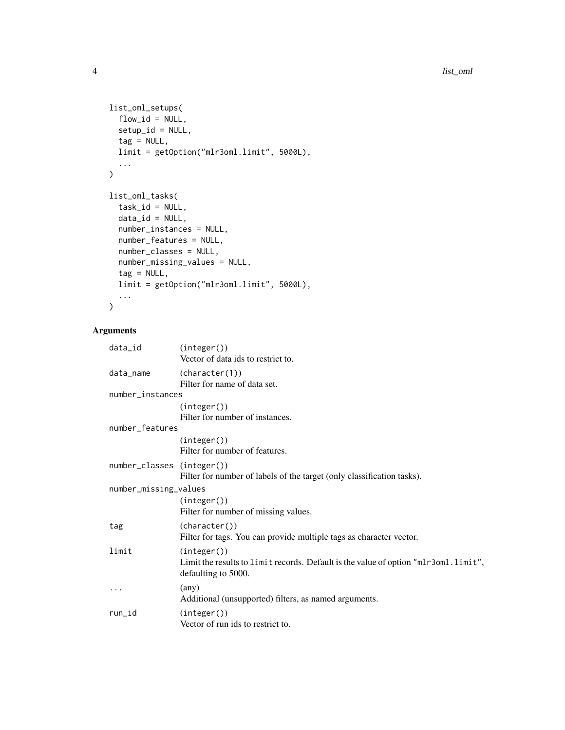```
list_oml_setups(
 flow_id = NULL,setup_id = NULL,
  tag = NULL,limit = getOption("mlr3oml.limit", 5000L),
  ...
\mathcal{L}list_oml_tasks(
  task_id = NULL,data_id = NULL,number_instances = NULL,
 number_features = NULL,
 number_classes = NULL,
 number_missing_values = NULL,
  tag = NULL,limit = getOption("mlr3oml.limit", 5000L),
  ...
\mathcal{L}
```
# Arguments

| data_id                    | (integer())<br>Vector of data ids to restrict to.                                                                        |
|----------------------------|--------------------------------------------------------------------------------------------------------------------------|
| data_name                  | (character(1))<br>Filter for name of data set.                                                                           |
| number_instances           |                                                                                                                          |
|                            | (integer())<br>Filter for number of instances.                                                                           |
| number_features            |                                                                                                                          |
|                            | (integer()<br>Filter for number of features.                                                                             |
| number_classes (integer()) | Filter for number of labels of the target (only classification tasks).                                                   |
| number_missing_values      |                                                                                                                          |
|                            | (integer()<br>Filter for number of missing values.                                                                       |
| tag                        | (character())<br>Filter for tags. You can provide multiple tags as character vector.                                     |
| limit                      | (integer()<br>Limit the results to limit records. Default is the value of option "mlr3oml.limit",<br>defaulting to 5000. |
|                            | $\langle$ any $\rangle$<br>Additional (unsupported) filters, as named arguments.                                         |
| run_id                     | (integer()<br>Vector of run ids to restrict to.                                                                          |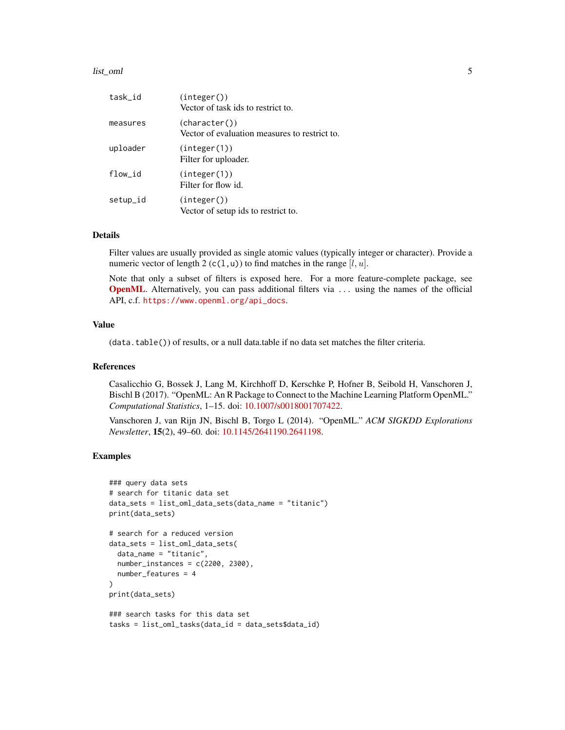#### list\_oml 5

| task_id  | (integer())<br>Vector of task ids to restrict to.              |
|----------|----------------------------------------------------------------|
| measures | (character())<br>Vector of evaluation measures to restrict to. |
| uploader | (integer(1))<br>Filter for uploader.                           |
| flow_id  | (integer(1))<br>Filter for flow id.                            |
| setup_id | (integer())<br>Vector of setup ids to restrict to.             |

# Details

Filter values are usually provided as single atomic values (typically integer or character). Provide a numeric vector of length 2 (c(1,u)) to find matches in the range  $[l, u]$ .

Note that only a subset of filters is exposed here. For a more feature-complete package, see [OpenML](https://CRAN.R-project.org/package=OpenML). Alternatively, you can pass additional filters via ... using the names of the official API, c.f. [https://www.openml.org/api\\_docs](https://www.openml.org/api_docs).

# Value

(data.table()) of results, or a null data.table if no data set matches the filter criteria.

#### References

Casalicchio G, Bossek J, Lang M, Kirchhoff D, Kerschke P, Hofner B, Seibold H, Vanschoren J, Bischl B (2017). "OpenML: An R Package to Connect to the Machine Learning Platform OpenML." *Computational Statistics*, 1–15. doi: [10.1007/s0018001707422.](https://doi.org/10.1007/s00180-017-0742-2)

Vanschoren J, van Rijn JN, Bischl B, Torgo L (2014). "OpenML." *ACM SIGKDD Explorations Newsletter*, 15(2), 49–60. doi: [10.1145/2641190.2641198.](https://doi.org/10.1145/2641190.2641198)

# Examples

```
### query data sets
# search for titanic data set
data_sets = list_oml_data_sets(data_name = "titanic")
print(data_sets)
# search for a reduced version
data_sets = list_oml_data_sets(
 data_name = "titanic",
 number_instances = c(2200, 2300),
 number_features = 4
)
print(data_sets)
### search tasks for this data set
tasks = list_oml_tasks(data_id = data_sets$data_id)
```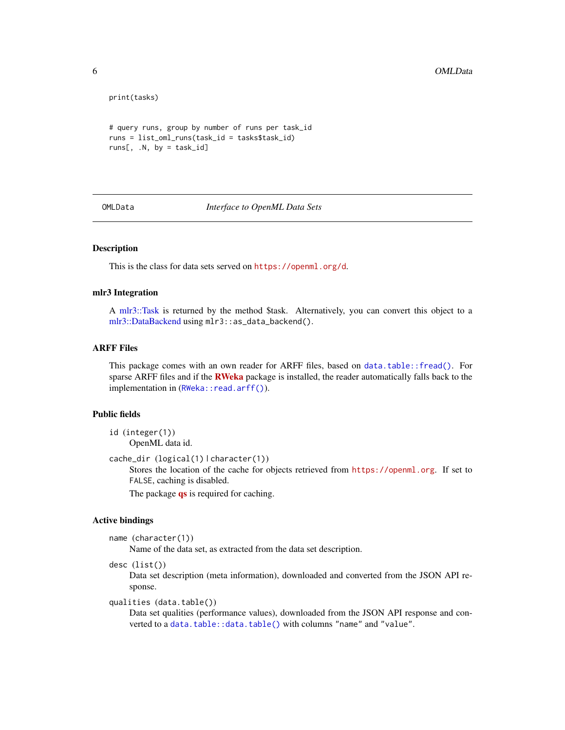```
print(tasks)
```

```
# query runs, group by number of runs per task_id
runs = list_oml_runs(task_id = tasks$task_id)
runs[, .N, by = task_id]
```
<span id="page-5-1"></span>OMLData *Interface to OpenML Data Sets*

# Description

This is the class for data sets served on <https://openml.org/d>.

## mlr3 Integration

A [mlr3::Task](#page-0-0) is returned by the method \$task. Alternatively, you can convert this object to a [mlr3::DataBackend](#page-0-0) using mlr3::as\_data\_backend().

### ARFF Files

This package comes with an own reader for ARFF files, based on [data.table::fread\(\)](#page-0-0). For sparse ARFF files and if the **[RWeka](https://CRAN.R-project.org/package=RWeka)** package is installed, the reader automatically falls back to the implementation in ([RWeka::read.arff\(\)](#page-0-0)).

# Public fields

id (integer(1)) OpenML data id.

```
cache_dir (logical(1) | character(1))
```
Stores the location of the cache for objects retrieved from <https://openml.org>. If set to FALSE, caching is disabled.

The package **[qs](https://CRAN.R-project.org/package=qs)** is required for caching.

#### Active bindings

```
name (character(1))
```
Name of the data set, as extracted from the data set description.

desc (list())

Data set description (meta information), downloaded and converted from the JSON API response.

qualities (data.table())

Data set qualities (performance values), downloaded from the JSON API response and converted to a [data.table::data.table\(\)](#page-0-0) with columns "name" and "value".

<span id="page-5-0"></span>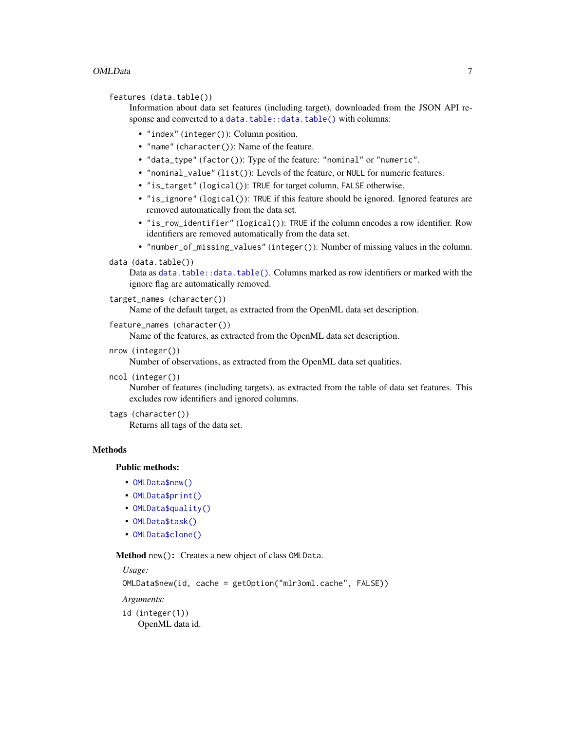# <span id="page-6-1"></span>OMLData 7

```
features (data.table())
```
Information about data set features (including target), downloaded from the JSON API response and converted to a [data.table::data.table\(\)](#page-0-0) with columns:

- "index" (integer()): Column position.
- "name" (character()): Name of the feature.
- "data\_type" (factor()): Type of the feature: "nominal" or "numeric".
- "nominal\_value" (list()): Levels of the feature, or NULL for numeric features.
- "is\_target" (logical()): TRUE for target column, FALSE otherwise.
- "is\_ignore" (logical()): TRUE if this feature should be ignored. Ignored features are removed automatically from the data set.
- "is\_row\_identifier" (logical()): TRUE if the column encodes a row identifier. Row identifiers are removed automatically from the data set.
- "number\_of\_missing\_values" (integer()): Number of missing values in the column.

# data (data.table())

Data as [data.table::data.table\(\)](#page-0-0). Columns marked as row identifiers or marked with the ignore flag are automatically removed.

# target\_names (character())

Name of the default target, as extracted from the OpenML data set description.

```
feature_names (character())
```
Name of the features, as extracted from the OpenML data set description.

nrow (integer())

Number of observations, as extracted from the OpenML data set qualities.

ncol (integer())

Number of features (including targets), as extracted from the table of data set features. This excludes row identifiers and ignored columns.

tags (character())

Returns all tags of the data set.

#### **Methods**

# Public methods:

- [OMLData\\$new\(\)](#page-6-0)
- [OMLData\\$print\(\)](#page-7-0)
- [OMLData\\$quality\(\)](#page-7-1)
- [OMLData\\$task\(\)](#page-7-2)
- [OMLData\\$clone\(\)](#page-7-3)

<span id="page-6-0"></span>Method new(): Creates a new object of class OMLData.

*Usage:*

OMLData\$new(id, cache = getOption("mlr3oml.cache", FALSE))

*Arguments:*

- id (integer(1))
	- OpenML data id.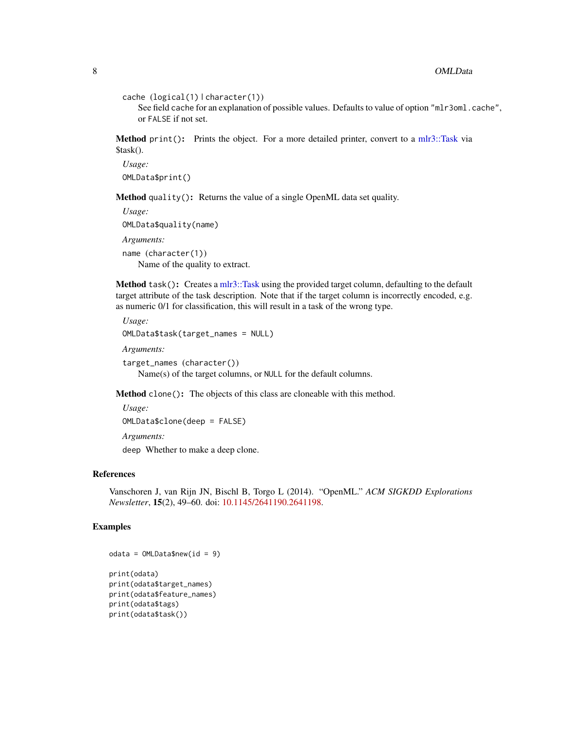```
cache (logical(1) | character(1))
```
See field cache for an explanation of possible values. Defaults to value of option "mlr3oml.cache", or FALSE if not set.

<span id="page-7-0"></span>Method print(): Prints the object. For a more detailed printer, convert to a [mlr3::Task](#page-0-0) via \$task().

*Usage:* OMLData\$print()

<span id="page-7-1"></span>Method quality(): Returns the value of a single OpenML data set quality.

```
Usage:
OMLData$quality(name)
Arguments:
name (character(1))
   Name of the quality to extract.
```
<span id="page-7-2"></span>Method task(): Creates a [mlr3::Task](#page-0-0) using the provided target column, defaulting to the default target attribute of the task description. Note that if the target column is incorrectly encoded, e.g. as numeric 0/1 for classification, this will result in a task of the wrong type.

```
Usage:
OMLData$task(target_names = NULL)
Arguments:
target_names (character())
   Name(s) of the target columns, or NULL for the default columns.
```
<span id="page-7-3"></span>Method clone(): The objects of this class are cloneable with this method.

*Usage:* OMLData\$clone(deep = FALSE) *Arguments:*

deep Whether to make a deep clone.

# References

Vanschoren J, van Rijn JN, Bischl B, Torgo L (2014). "OpenML." *ACM SIGKDD Explorations Newsletter*, 15(2), 49–60. doi: [10.1145/2641190.2641198.](https://doi.org/10.1145/2641190.2641198)

# Examples

```
odata = OMLData$new(id = 9)print(odata)
print(odata$target_names)
print(odata$feature_names)
print(odata$tags)
print(odata$task())
```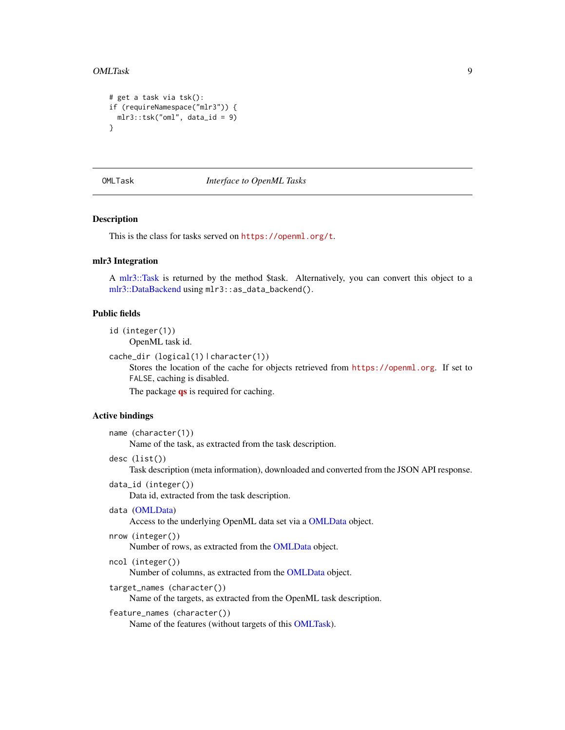```
# get a task via tsk():
if (requireNamespace("mlr3")) {
 mlr3::tsk("oml", data_id = 9)
}
```
#### <span id="page-8-1"></span>OMLTask *Interface to OpenML Tasks*

# **Description**

This is the class for tasks served on <https://openml.org/t>.

# mlr3 Integration

A [mlr3::Task](#page-0-0) is returned by the method \$task. Alternatively, you can convert this object to a [mlr3::DataBackend](#page-0-0) using mlr3::as\_data\_backend().

### Public fields

```
id (integer(1))
```
OpenML task id.

```
cache_dir (logical(1) | character(1))
```
Stores the location of the cache for objects retrieved from <https://openml.org>. If set to FALSE, caching is disabled.

The package **[qs](https://CRAN.R-project.org/package=qs)** is required for caching.

# Active bindings

```
name (character(1))
     Name of the task, as extracted from the task description.
```
desc (list())

Task description (meta information), downloaded and converted from the JSON API response.

data\_id (integer())

Data id, extracted from the task description.

```
data (OMLData)
```
Access to the underlying OpenML data set via a [OMLData](#page-5-1) object.

```
nrow (integer())
```
Number of rows, as extracted from the [OMLData](#page-5-1) object.

```
ncol (integer())
```
Number of columns, as extracted from the [OMLData](#page-5-1) object.

target\_names (character())

Name of the targets, as extracted from the OpenML task description.

# feature\_names (character())

Name of the features (without targets of this [OMLTask\)](#page-8-1).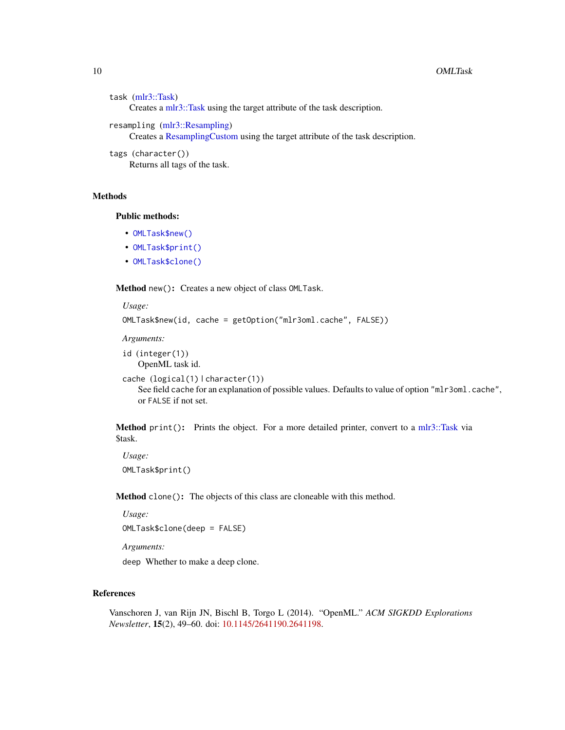```
task (mlr3::Task)
     Creates a mlr3::Task using the target attribute of the task description.
resampling (mlr3::Resampling)
     Creates a ResamplingCustom using the target attribute of the task description.
```

```
tags (character())
    Returns all tags of the task.
```
# **Methods**

#### Public methods:

- [OMLTask\\$new\(\)](#page-6-0)
- [OMLTask\\$print\(\)](#page-7-0)
- [OMLTask\\$clone\(\)](#page-7-3)

Method new(): Creates a new object of class OMLTask.

```
Usage:
OMLTask$new(id, cache = getOption("mlr3oml.cache", FALSE))
Arguments:
id (integer(1))
```

```
OpenML task id.
cache (logical(1) | character(1))
    See field cache for an explanation of possible values. Defaults to value of option "mlr3oml.cache",
    or FALSE if not set.
```
Method print(): Prints the object. For a more detailed printer, convert to a [mlr3::Task](#page-0-0) via \$task.

```
Usage:
OMLTask$print()
```
Method clone(): The objects of this class are cloneable with this method.

*Usage:*

OMLTask\$clone(deep = FALSE)

*Arguments:*

deep Whether to make a deep clone.

# References

Vanschoren J, van Rijn JN, Bischl B, Torgo L (2014). "OpenML." *ACM SIGKDD Explorations Newsletter*, 15(2), 49–60. doi: [10.1145/2641190.2641198.](https://doi.org/10.1145/2641190.2641198)

<span id="page-9-0"></span>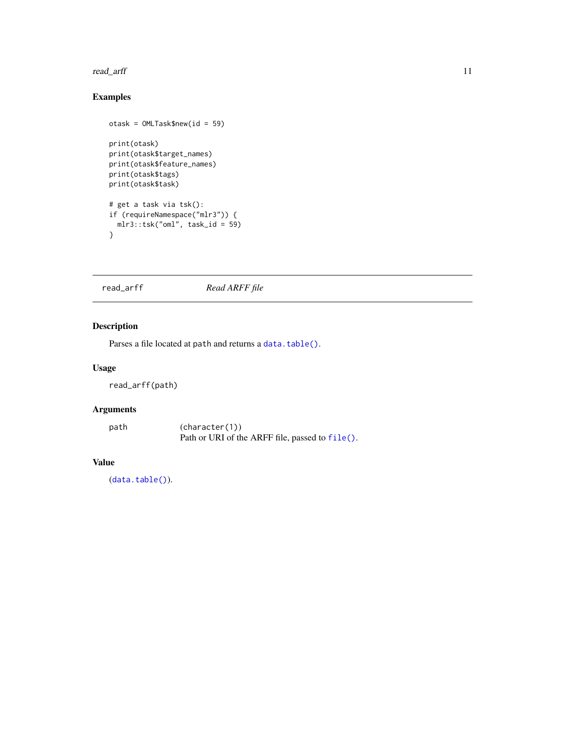### <span id="page-10-0"></span>read\_arff 11

# Examples

```
otask = OMLTask$new(id = 59)
print(otask)
print(otask$target_names)
print(otask$feature_names)
print(otask$tags)
print(otask$task)
# get a task via tsk():
if (requireNamespace("mlr3")) {
 mlr3::tsk("oml", task_id = 59)
}
```
read\_arff *Read ARFF file*

# Description

Parses a file located at path and returns a [data.table\(\)](#page-0-0).

# Usage

read\_arff(path)

# Arguments

path (character(1)) Path or URI of the ARFF file, passed to [file\(\)](#page-0-0).

# Value

([data.table\(\)](#page-0-0)).